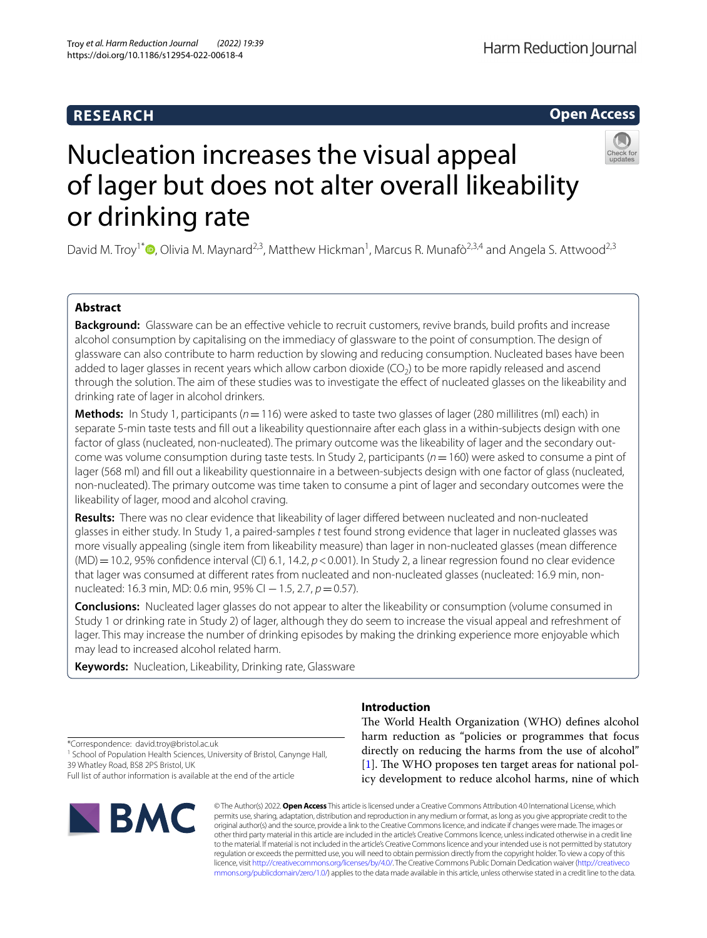# **RESEARCH**

# **Open Access**



# Nucleation increases the visual appeal of lager but does not alter overall likeability or drinking rate

David M. Troy<sup>1[\\*](http://orcid.org/0000-0003-0897-2704)</sup> <sup>(1</sup>), Olivia M. Maynard<sup>2,3</sup>, Matthew Hickman<sup>1</sup>, Marcus R. Munafò<sup>2,3,4</sup> and Angela S. Attwood<sup>2,3</sup>

# **Abstract**

**Background:** Glassware can be an effective vehicle to recruit customers, revive brands, build profits and increase alcohol consumption by capitalising on the immediacy of glassware to the point of consumption. The design of glassware can also contribute to harm reduction by slowing and reducing consumption. Nucleated bases have been added to lager glasses in recent years which allow carbon dioxide (CO<sub>2</sub>) to be more rapidly released and ascend through the solution. The aim of these studies was to investigate the efect of nucleated glasses on the likeability and drinking rate of lager in alcohol drinkers.

**Methods:** In Study 1, participants (*n*=116) were asked to taste two glasses of lager (280 millilitres (ml) each) in separate 5-min taste tests and fll out a likeability questionnaire after each glass in a within-subjects design with one factor of glass (nucleated, non-nucleated). The primary outcome was the likeability of lager and the secondary outcome was volume consumption during taste tests. In Study 2, participants (*n*=160) were asked to consume a pint of lager (568 ml) and fll out a likeability questionnaire in a between-subjects design with one factor of glass (nucleated, non-nucleated). The primary outcome was time taken to consume a pint of lager and secondary outcomes were the likeability of lager, mood and alcohol craving.

**Results:** There was no clear evidence that likeability of lager difered between nucleated and non-nucleated glasses in either study. In Study 1, a paired-samples *t* test found strong evidence that lager in nucleated glasses was more visually appealing (single item from likeability measure) than lager in non-nucleated glasses (mean diference (MD)=10.2, 95% confdence interval (CI) 6.1, 14.2, *p*<0.001). In Study 2, a linear regression found no clear evidence that lager was consumed at diferent rates from nucleated and non-nucleated glasses (nucleated: 16.9 min, nonnucleated: 16.3 min, MD: 0.6 min, 95% CI − 1.5, 2.7, *p* = 0.57).

**Conclusions:** Nucleated lager glasses do not appear to alter the likeability or consumption (volume consumed in Study 1 or drinking rate in Study 2) of lager, although they do seem to increase the visual appeal and refreshment of lager. This may increase the number of drinking episodes by making the drinking experience more enjoyable which may lead to increased alcohol related harm.

**Keywords:** Nucleation, Likeability, Drinking rate, Glassware

**Introduction**

\*Correspondence: david.troy@bristol.ac.uk

<sup>1</sup> School of Population Health Sciences, University of Bristol, Canynge Hall, 39 Whatley Road, BS8 2PS Bristol, UK

Full list of author information is available at the end of the article



The World Health Organization (WHO) defines alcohol harm reduction as "policies or programmes that focus directly on reducing the harms from the use of alcohol"  $[1]$  $[1]$ . The WHO proposes ten target areas for national policy development to reduce alcohol harms, nine of which

© The Author(s) 2022. **Open Access** This article is licensed under a Creative Commons Attribution 4.0 International License, which permits use, sharing, adaptation, distribution and reproduction in any medium or format, as long as you give appropriate credit to the original author(s) and the source, provide a link to the Creative Commons licence, and indicate if changes were made. The images or other third party material in this article are included in the article's Creative Commons licence, unless indicated otherwise in a credit line to the material. If material is not included in the article's Creative Commons licence and your intended use is not permitted by statutory regulation or exceeds the permitted use, you will need to obtain permission directly from the copyright holder. To view a copy of this licence, visit [http://creativecommons.org/licenses/by/4.0/.](http://creativecommons.org/licenses/by/4.0/) The Creative Commons Public Domain Dedication waiver ([http://creativeco](http://creativecommons.org/publicdomain/zero/1.0/) [mmons.org/publicdomain/zero/1.0/](http://creativecommons.org/publicdomain/zero/1.0/)) applies to the data made available in this article, unless otherwise stated in a credit line to the data.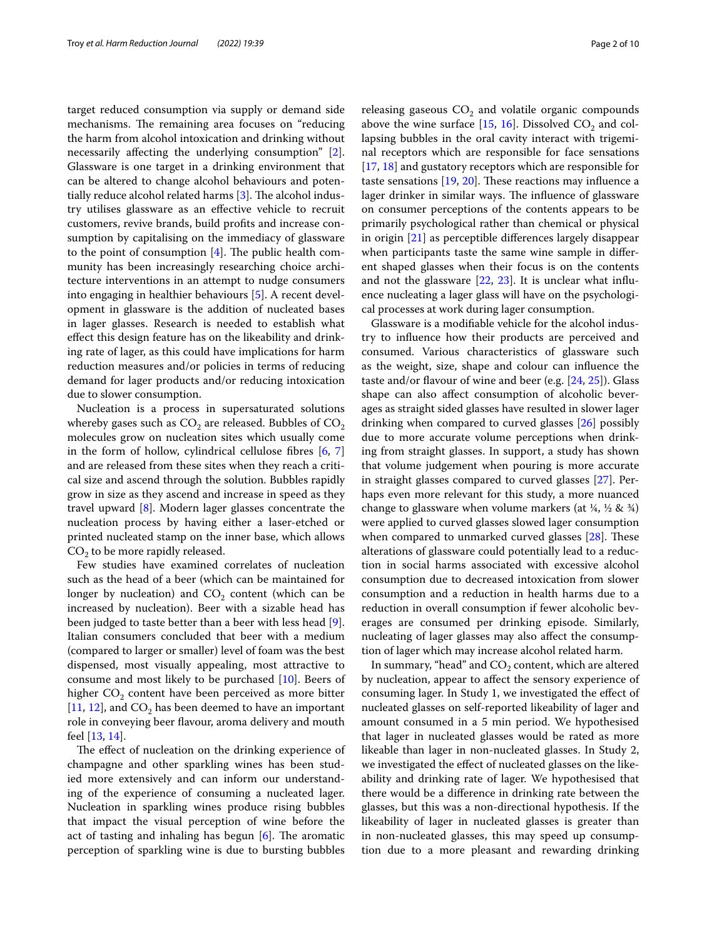target reduced consumption via supply or demand side mechanisms. The remaining area focuses on "reducing" the harm from alcohol intoxication and drinking without necessarily afecting the underlying consumption" [\[2](#page-8-1)]. Glassware is one target in a drinking environment that can be altered to change alcohol behaviours and potentially reduce alcohol related harms  $[3]$  $[3]$ . The alcohol industry utilises glassware as an efective vehicle to recruit customers, revive brands, build profts and increase consumption by capitalising on the immediacy of glassware to the point of consumption  $[4]$  $[4]$ . The public health community has been increasingly researching choice architecture interventions in an attempt to nudge consumers into engaging in healthier behaviours [[5\]](#page-8-4). A recent development in glassware is the addition of nucleated bases in lager glasses. Research is needed to establish what efect this design feature has on the likeability and drinking rate of lager, as this could have implications for harm reduction measures and/or policies in terms of reducing demand for lager products and/or reducing intoxication due to slower consumption.

Nucleation is a process in supersaturated solutions whereby gases such as  $CO<sub>2</sub>$  are released. Bubbles of  $CO<sub>2</sub>$ molecules grow on nucleation sites which usually come in the form of hollow, cylindrical cellulose fbres [\[6](#page-8-5), [7](#page-8-6)] and are released from these sites when they reach a critical size and ascend through the solution. Bubbles rapidly grow in size as they ascend and increase in speed as they travel upward [[8\]](#page-8-7). Modern lager glasses concentrate the nucleation process by having either a laser-etched or printed nucleated stamp on the inner base, which allows  $CO<sub>2</sub>$  to be more rapidly released.

Few studies have examined correlates of nucleation such as the head of a beer (which can be maintained for longer by nucleation) and  $CO<sub>2</sub>$  content (which can be increased by nucleation). Beer with a sizable head has been judged to taste better than a beer with less head [\[9](#page-8-8)]. Italian consumers concluded that beer with a medium (compared to larger or smaller) level of foam was the best dispensed, most visually appealing, most attractive to consume and most likely to be purchased [[10\]](#page-9-0). Beers of higher  $CO<sub>2</sub>$  content have been perceived as more bitter [[11,](#page-9-1) [12](#page-9-2)], and  $CO<sub>2</sub>$  has been deemed to have an important role in conveying beer favour, aroma delivery and mouth feel [[13](#page-9-3), [14\]](#page-9-4).

The effect of nucleation on the drinking experience of champagne and other sparkling wines has been studied more extensively and can inform our understanding of the experience of consuming a nucleated lager. Nucleation in sparkling wines produce rising bubbles that impact the visual perception of wine before the act of tasting and inhaling has begun  $[6]$  $[6]$ . The aromatic perception of sparkling wine is due to bursting bubbles releasing gaseous  $\mathrm{CO}_2$  and volatile organic compounds above the wine surface  $[15, 16]$  $[15, 16]$  $[15, 16]$  $[15, 16]$ . Dissolved CO<sub>2</sub> and collapsing bubbles in the oral cavity interact with trigeminal receptors which are responsible for face sensations [[17,](#page-9-7) [18](#page-9-8)] and gustatory receptors which are responsible for taste sensations  $[19, 20]$  $[19, 20]$  $[19, 20]$  $[19, 20]$  $[19, 20]$ . These reactions may influence a lager drinker in similar ways. The influence of glassware on consumer perceptions of the contents appears to be primarily psychological rather than chemical or physical in origin [\[21](#page-9-11)] as perceptible diferences largely disappear when participants taste the same wine sample in diferent shaped glasses when their focus is on the contents and not the glassware  $[22, 23]$  $[22, 23]$  $[22, 23]$  $[22, 23]$  $[22, 23]$ . It is unclear what influence nucleating a lager glass will have on the psychological processes at work during lager consumption.

Glassware is a modifable vehicle for the alcohol industry to infuence how their products are perceived and consumed. Various characteristics of glassware such as the weight, size, shape and colour can infuence the taste and/or favour of wine and beer (e.g. [\[24,](#page-9-14) [25](#page-9-15)]). Glass shape can also afect consumption of alcoholic beverages as straight sided glasses have resulted in slower lager drinking when compared to curved glasses [\[26](#page-9-16)] possibly due to more accurate volume perceptions when drinking from straight glasses. In support, a study has shown that volume judgement when pouring is more accurate in straight glasses compared to curved glasses [\[27](#page-9-17)]. Perhaps even more relevant for this study, a more nuanced change to glassware when volume markers (at  $\frac{1}{4}$ ,  $\frac{1}{2}$  &  $\frac{3}{4}$ ) were applied to curved glasses slowed lager consumption when compared to unmarked curved glasses  $[28]$  $[28]$ . These alterations of glassware could potentially lead to a reduction in social harms associated with excessive alcohol consumption due to decreased intoxication from slower consumption and a reduction in health harms due to a reduction in overall consumption if fewer alcoholic beverages are consumed per drinking episode. Similarly, nucleating of lager glasses may also afect the consumption of lager which may increase alcohol related harm.

In summary, "head" and  $CO<sub>2</sub>$  content, which are altered by nucleation, appear to afect the sensory experience of consuming lager. In Study 1, we investigated the efect of nucleated glasses on self-reported likeability of lager and amount consumed in a 5 min period. We hypothesised that lager in nucleated glasses would be rated as more likeable than lager in non-nucleated glasses. In Study 2, we investigated the efect of nucleated glasses on the likeability and drinking rate of lager. We hypothesised that there would be a diference in drinking rate between the glasses, but this was a non-directional hypothesis. If the likeability of lager in nucleated glasses is greater than in non-nucleated glasses, this may speed up consumption due to a more pleasant and rewarding drinking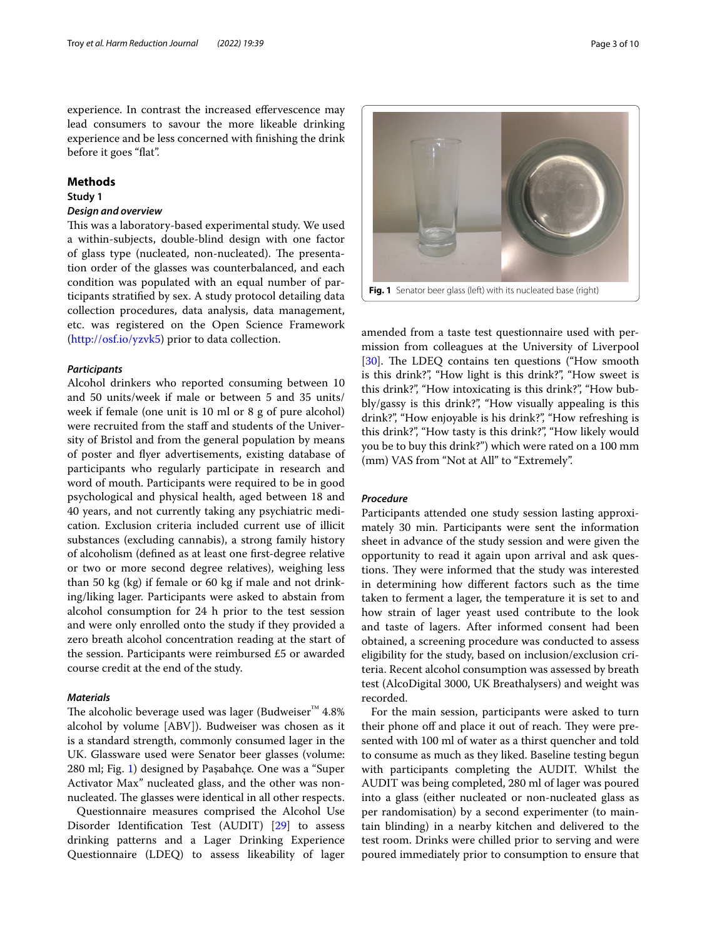experience. In contrast the increased efervescence may lead consumers to savour the more likeable drinking experience and be less concerned with fnishing the drink before it goes "flat".

# **Methods**

#### **Study 1**

#### *Design and overview*

This was a laboratory-based experimental study. We used a within-subjects, double-blind design with one factor of glass type (nucleated, non-nucleated). The presentation order of the glasses was counterbalanced, and each condition was populated with an equal number of participants stratifed by sex. A study protocol detailing data collection procedures, data analysis, data management, etc. was registered on the Open Science Framework (<http://osf.io/yzvk5>) prior to data collection.

# *Participants*

Alcohol drinkers who reported consuming between 10 and 50 units/week if male or between 5 and 35 units/ week if female (one unit is 10 ml or 8 g of pure alcohol) were recruited from the staff and students of the University of Bristol and from the general population by means of poster and fyer advertisements, existing database of participants who regularly participate in research and word of mouth. Participants were required to be in good psychological and physical health, aged between 18 and 40 years, and not currently taking any psychiatric medication. Exclusion criteria included current use of illicit substances (excluding cannabis), a strong family history of alcoholism (defned as at least one frst-degree relative or two or more second degree relatives), weighing less than 50 kg (kg) if female or 60 kg if male and not drinking/liking lager. Participants were asked to abstain from alcohol consumption for 24 h prior to the test session and were only enrolled onto the study if they provided a zero breath alcohol concentration reading at the start of the session. Participants were reimbursed £5 or awarded course credit at the end of the study.

#### *Materials*

The alcoholic beverage used was lager (Budweiser<sup>™</sup> 4.8%) alcohol by volume [ABV]). Budweiser was chosen as it is a standard strength, commonly consumed lager in the UK. Glassware used were Senator beer glasses (volume: 280 ml; Fig. [1\)](#page-2-0) designed by Paşabahçe*.* One was a "Super Activator Max" nucleated glass, and the other was nonnucleated. The glasses were identical in all other respects.

Questionnaire measures comprised the Alcohol Use Disorder Identifcation Test (AUDIT) [[29\]](#page-9-19) to assess drinking patterns and a Lager Drinking Experience Questionnaire (LDEQ) to assess likeability of lager



<span id="page-2-0"></span>amended from a taste test questionnaire used with permission from colleagues at the University of Liverpool [[30\]](#page-9-20). The LDEQ contains ten questions ("How smooth is this drink?", "How light is this drink?", "How sweet is this drink?", "How intoxicating is this drink?", "How bubbly/gassy is this drink?", "How visually appealing is this drink?", "How enjoyable is his drink?", "How refreshing is this drink?", "How tasty is this drink?", "How likely would you be to buy this drink?") which were rated on a 100 mm (mm) VAS from "Not at All" to "Extremely".

#### *Procedure*

Participants attended one study session lasting approximately 30 min. Participants were sent the information sheet in advance of the study session and were given the opportunity to read it again upon arrival and ask questions. They were informed that the study was interested in determining how diferent factors such as the time taken to ferment a lager, the temperature it is set to and how strain of lager yeast used contribute to the look and taste of lagers. After informed consent had been obtained, a screening procedure was conducted to assess eligibility for the study, based on inclusion/exclusion criteria. Recent alcohol consumption was assessed by breath test (AlcoDigital 3000, UK Breathalysers) and weight was recorded.

For the main session, participants were asked to turn their phone off and place it out of reach. They were presented with 100 ml of water as a thirst quencher and told to consume as much as they liked. Baseline testing begun with participants completing the AUDIT. Whilst the AUDIT was being completed, 280 ml of lager was poured into a glass (either nucleated or non-nucleated glass as per randomisation) by a second experimenter (to maintain blinding) in a nearby kitchen and delivered to the test room. Drinks were chilled prior to serving and were poured immediately prior to consumption to ensure that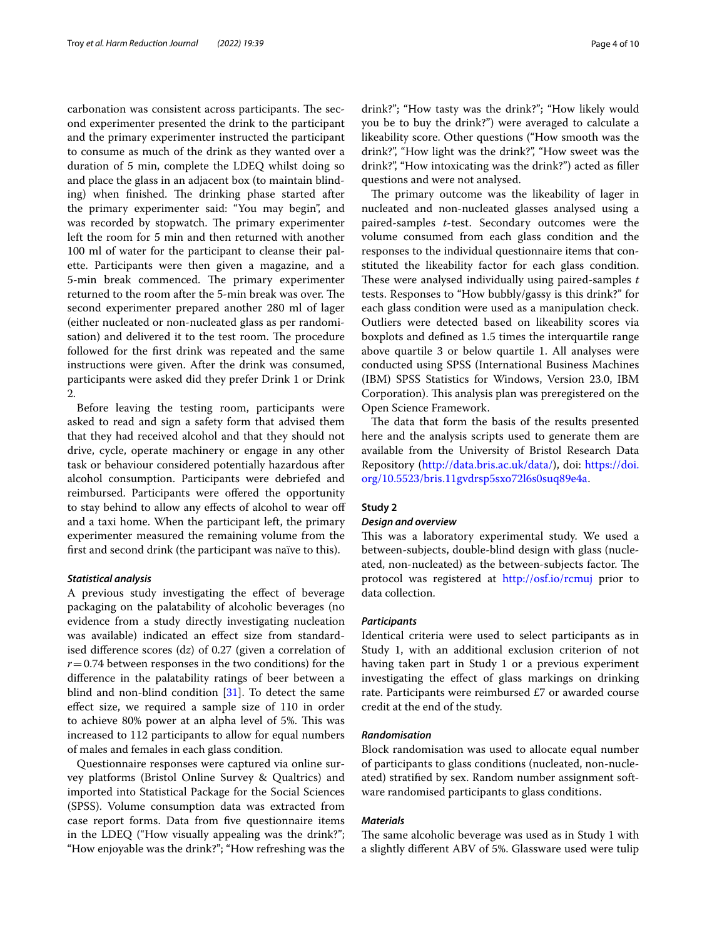carbonation was consistent across participants. The second experimenter presented the drink to the participant and the primary experimenter instructed the participant to consume as much of the drink as they wanted over a duration of 5 min, complete the LDEQ whilst doing so and place the glass in an adjacent box (to maintain blinding) when finished. The drinking phase started after the primary experimenter said: "You may begin", and was recorded by stopwatch. The primary experimenter left the room for 5 min and then returned with another 100 ml of water for the participant to cleanse their palette. Participants were then given a magazine, and a 5-min break commenced. The primary experimenter returned to the room after the 5-min break was over. The second experimenter prepared another 280 ml of lager (either nucleated or non-nucleated glass as per randomisation) and delivered it to the test room. The procedure followed for the frst drink was repeated and the same instructions were given. After the drink was consumed, participants were asked did they prefer Drink 1 or Drink 2.

Before leaving the testing room, participants were asked to read and sign a safety form that advised them that they had received alcohol and that they should not drive, cycle, operate machinery or engage in any other task or behaviour considered potentially hazardous after alcohol consumption. Participants were debriefed and reimbursed. Participants were ofered the opportunity to stay behind to allow any efects of alcohol to wear of and a taxi home. When the participant left, the primary experimenter measured the remaining volume from the frst and second drink (the participant was naïve to this).

# *Statistical analysis*

A previous study investigating the effect of beverage packaging on the palatability of alcoholic beverages (no evidence from a study directly investigating nucleation was available) indicated an efect size from standardised diference scores (d*z*) of 0.27 (given a correlation of  $r = 0.74$  between responses in the two conditions) for the diference in the palatability ratings of beer between a blind and non-blind condition [[31\]](#page-9-21). To detect the same efect size, we required a sample size of 110 in order to achieve 80% power at an alpha level of 5%. This was increased to 112 participants to allow for equal numbers of males and females in each glass condition.

Questionnaire responses were captured via online survey platforms (Bristol Online Survey & Qualtrics) and imported into Statistical Package for the Social Sciences (SPSS). Volume consumption data was extracted from case report forms. Data from fve questionnaire items in the LDEQ ("How visually appealing was the drink?"; "How enjoyable was the drink?"; "How refreshing was the drink?"; "How tasty was the drink?"; "How likely would you be to buy the drink?") were averaged to calculate a likeability score. Other questions ("How smooth was the drink?", "How light was the drink?", "How sweet was the drink?", "How intoxicating was the drink?") acted as fller questions and were not analysed.

The primary outcome was the likeability of lager in nucleated and non-nucleated glasses analysed using a paired-samples *t*-test. Secondary outcomes were the volume consumed from each glass condition and the responses to the individual questionnaire items that constituted the likeability factor for each glass condition. These were analysed individually using paired-samples t tests. Responses to "How bubbly/gassy is this drink?" for each glass condition were used as a manipulation check. Outliers were detected based on likeability scores via boxplots and defned as 1.5 times the interquartile range above quartile 3 or below quartile 1. All analyses were conducted using SPSS (International Business Machines (IBM) SPSS Statistics for Windows, Version 23.0, IBM Corporation). This analysis plan was preregistered on the Open Science Framework.

The data that form the basis of the results presented here and the analysis scripts used to generate them are available from the University of Bristol Research Data Repository ([http://data.bris.ac.uk/data/\)](http://data.bris.ac.uk/data/), doi: [https://doi.](https://doi.org/10.5523/bris.11gvdrsp5sxo72l6s0suq89e4a) [org/10.5523/bris.11gvdrsp5sxo72l6s0suq89e4a](https://doi.org/10.5523/bris.11gvdrsp5sxo72l6s0suq89e4a).

# **Study 2**

# *Design and overview*

This was a laboratory experimental study. We used a between-subjects, double-blind design with glass (nucleated, non-nucleated) as the between-subjects factor. The protocol was registered at <http://osf.io/rcmuj> prior to data collection.

## *Participants*

Identical criteria were used to select participants as in Study 1, with an additional exclusion criterion of not having taken part in Study 1 or a previous experiment investigating the efect of glass markings on drinking rate. Participants were reimbursed £7 or awarded course credit at the end of the study.

#### *Randomisation*

Block randomisation was used to allocate equal number of participants to glass conditions (nucleated, non-nucleated) stratifed by sex. Random number assignment software randomised participants to glass conditions.

# *Materials*

The same alcoholic beverage was used as in Study 1 with a slightly diferent ABV of 5%. Glassware used were tulip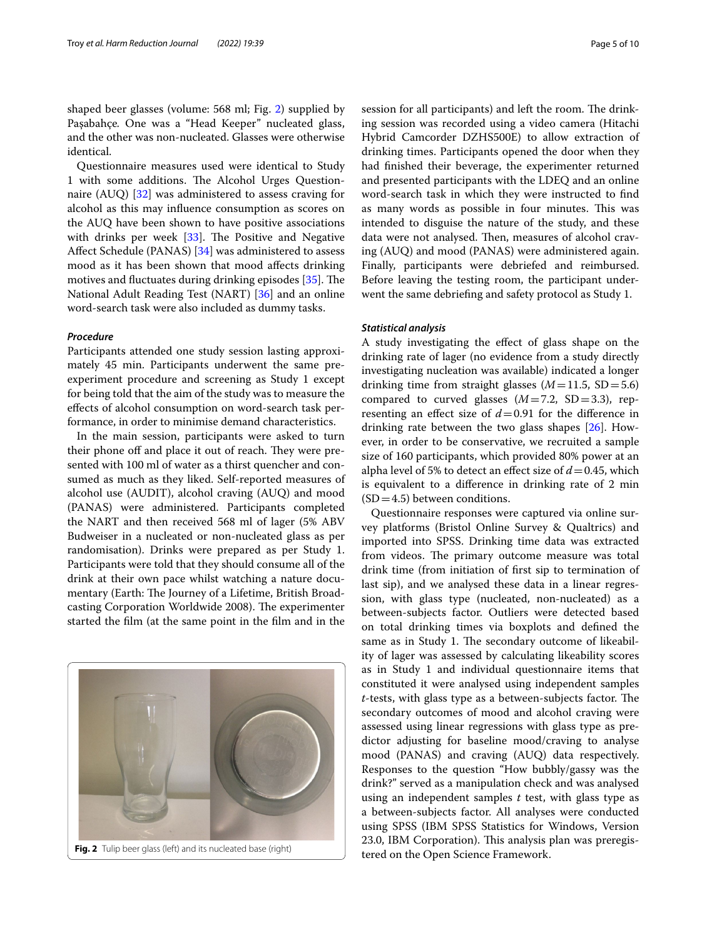shaped beer glasses (volume: 568 ml; Fig. [2\)](#page-4-0) supplied by Paşabahçe*.* One was a "Head Keeper" nucleated glass, and the other was non-nucleated. Glasses were otherwise identical.

Questionnaire measures used were identical to Study 1 with some additions. The Alcohol Urges Questionnaire (AUQ) [[32\]](#page-9-22) was administered to assess craving for alcohol as this may infuence consumption as scores on the AUQ have been shown to have positive associations with drinks per week [[33\]](#page-9-23). The Positive and Negative Afect Schedule (PANAS) [[34\]](#page-9-24) was administered to assess mood as it has been shown that mood afects drinking motives and fluctuates during drinking episodes [[35](#page-9-25)]. The National Adult Reading Test (NART) [\[36](#page-9-26)] and an online word-search task were also included as dummy tasks.

#### *Procedure*

Participants attended one study session lasting approximately 45 min. Participants underwent the same preexperiment procedure and screening as Study 1 except for being told that the aim of the study was to measure the efects of alcohol consumption on word-search task performance, in order to minimise demand characteristics.

In the main session, participants were asked to turn their phone off and place it out of reach. They were presented with 100 ml of water as a thirst quencher and consumed as much as they liked. Self-reported measures of alcohol use (AUDIT), alcohol craving (AUQ) and mood (PANAS) were administered. Participants completed the NART and then received 568 ml of lager (5% ABV Budweiser in a nucleated or non-nucleated glass as per randomisation). Drinks were prepared as per Study 1. Participants were told that they should consume all of the drink at their own pace whilst watching a nature documentary (Earth: The Journey of a Lifetime, British Broadcasting Corporation Worldwide 2008). The experimenter started the flm (at the same point in the flm and in the

<span id="page-4-0"></span>

session for all participants) and left the room. The drinking session was recorded using a video camera (Hitachi Hybrid Camcorder DZHS500E) to allow extraction of drinking times. Participants opened the door when they had fnished their beverage, the experimenter returned and presented participants with the LDEQ and an online word-search task in which they were instructed to fnd as many words as possible in four minutes. This was intended to disguise the nature of the study, and these data were not analysed. Then, measures of alcohol craving (AUQ) and mood (PANAS) were administered again. Finally, participants were debriefed and reimbursed. Before leaving the testing room, the participant underwent the same debriefng and safety protocol as Study 1.

#### *Statistical analysis*

A study investigating the efect of glass shape on the drinking rate of lager (no evidence from a study directly investigating nucleation was available) indicated a longer drinking time from straight glasses  $(M=11.5, SD=5.6)$ compared to curved glasses  $(M=7.2, SD=3.3)$ , representing an effect size of  $d = 0.91$  for the difference in drinking rate between the two glass shapes [\[26\]](#page-9-16). However, in order to be conservative, we recruited a sample size of 160 participants, which provided 80% power at an alpha level of 5% to detect an efect size of *d*=0.45, which is equivalent to a diference in drinking rate of 2 min  $(SD=4.5)$  between conditions.

Questionnaire responses were captured via online survey platforms (Bristol Online Survey & Qualtrics) and imported into SPSS. Drinking time data was extracted from videos. The primary outcome measure was total drink time (from initiation of frst sip to termination of last sip), and we analysed these data in a linear regression, with glass type (nucleated, non-nucleated) as a between-subjects factor. Outliers were detected based on total drinking times via boxplots and defned the same as in Study 1. The secondary outcome of likeability of lager was assessed by calculating likeability scores as in Study 1 and individual questionnaire items that constituted it were analysed using independent samples *t*-tests, with glass type as a between-subjects factor. The secondary outcomes of mood and alcohol craving were assessed using linear regressions with glass type as predictor adjusting for baseline mood/craving to analyse mood (PANAS) and craving (AUQ) data respectively. Responses to the question "How bubbly/gassy was the drink?" served as a manipulation check and was analysed using an independent samples *t* test, with glass type as a between-subjects factor. All analyses were conducted using SPSS (IBM SPSS Statistics for Windows, Version 23.0, IBM Corporation). This analysis plan was preregis-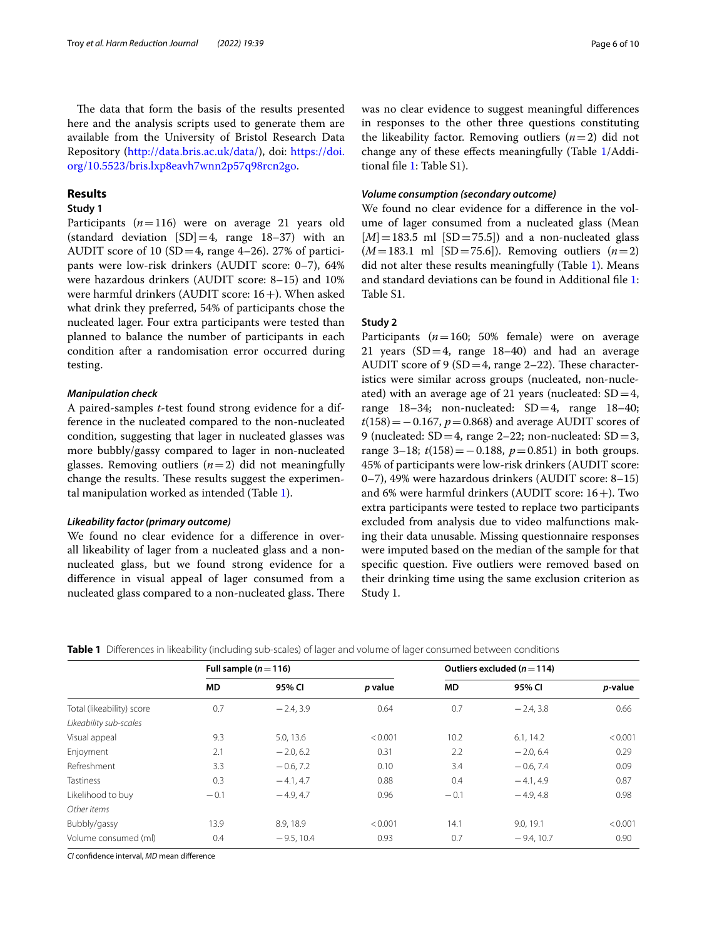The data that form the basis of the results presented here and the analysis scripts used to generate them are available from the University of Bristol Research Data Repository ([http://data.bris.ac.uk/data/\)](http://data.bris.ac.uk/data/), doi: [https://doi.](https://doi.org/10.5523/bris.lxp8eavh7wnn2p57q98rcn2go) [org/10.5523/bris.lxp8eavh7wnn2p57q98rcn2go.](https://doi.org/10.5523/bris.lxp8eavh7wnn2p57q98rcn2go)

# **Results**

# **Study 1**

Participants  $(n=116)$  were on average 21 years old (standard deviation  $[SD] = 4$ , range 18–37) with an AUDIT score of 10 (SD=4, range 4–26). 27% of participants were low-risk drinkers (AUDIT score: 0–7), 64% were hazardous drinkers (AUDIT score: 8–15) and 10% were harmful drinkers (AUDIT score:  $16+$ ). When asked what drink they preferred, 54% of participants chose the nucleated lager. Four extra participants were tested than planned to balance the number of participants in each condition after a randomisation error occurred during testing.

# *Manipulation check*

A paired-samples *t*-test found strong evidence for a difference in the nucleated compared to the non-nucleated condition, suggesting that lager in nucleated glasses was more bubbly/gassy compared to lager in non-nucleated glasses. Removing outliers  $(n=2)$  did not meaningfully change the results. These results suggest the experimental manipulation worked as intended (Table [1](#page-5-0)).

#### *Likeability factor (primary outcome)*

We found no clear evidence for a diference in overall likeability of lager from a nucleated glass and a nonnucleated glass, but we found strong evidence for a diference in visual appeal of lager consumed from a nucleated glass compared to a non-nucleated glass. There was no clear evidence to suggest meaningful diferences in responses to the other three questions constituting the likeability factor. Removing outliers (*n*=2) did not change any of these efects meaningfully (Table [1](#page-5-0)/Additional fle [1](#page-8-9): Table S1).

# *Volume consumption (secondary outcome)*

We found no clear evidence for a diference in the volume of lager consumed from a nucleated glass (Mean  $[M] = 183.5$  ml  $[SD = 75.5]$  and a non-nucleated glass  $(M=183.1 \text{ ml } [SD=75.6])$ . Removing outliers  $(n=2)$ did not alter these results meaningfully (Table [1\)](#page-5-0). Means and standard deviations can be found in Additional fle [1](#page-8-9): Table S1.

# **Study 2**

Participants  $(n=160; 50\%$  female) were on average 21 years  $(SD=4, \text{ range } 18-40)$  and had an average AUDIT score of 9 (SD  $=$  4, range 2–22). These characteristics were similar across groups (nucleated, non-nucleated) with an average age of 21 years (nucleated:  $SD=4$ , range  $18-34$ ; non-nucleated:  $SD=4$ , range  $18-40$ ; *t*(158) = −0.167, *p* = 0.868) and average AUDIT scores of 9 (nucleated:  $SD=4$ , range 2–22; non-nucleated:  $SD=3$ , range 3–18; *t*(158)=−0.188, *p*=0.851) in both groups. 45% of participants were low-risk drinkers (AUDIT score: 0–7), 49% were hazardous drinkers (AUDIT score: 8–15) and 6% were harmful drinkers (AUDIT score:  $16+$ ). Two extra participants were tested to replace two participants excluded from analysis due to video malfunctions making their data unusable. Missing questionnaire responses were imputed based on the median of the sample for that specifc question. Five outliers were removed based on their drinking time using the same exclusion criterion as Study 1.

<span id="page-5-0"></span>

|  |  | <b>Table 1</b> Differences in likeability (including sub-scales) of lager and volume of lager consumed between conditions |  |
|--|--|---------------------------------------------------------------------------------------------------------------------------|--|
|  |  |                                                                                                                           |  |

|                           | Full sample $(n=116)$ |              |         | Outliers excluded ( $n = 114$ ) |              |                 |
|---------------------------|-----------------------|--------------|---------|---------------------------------|--------------|-----------------|
|                           | MD.                   | 95% CI       | p value | <b>MD</b>                       | 95% CI       | <i>p</i> -value |
| Total (likeability) score | 0.7                   | $-2.4, 3.9$  | 0.64    | 0.7                             | $-2.4, 3.8$  | 0.66            |
| Likeability sub-scales    |                       |              |         |                                 |              |                 |
| Visual appeal             | 9.3                   | 5.0, 13.6    | < 0.001 | 10.2                            | 6.1, 14.2    | < 0.001         |
| Enjoyment                 | 2.1                   | $-2.0, 6.2$  | 0.31    | 2.2                             | $-2.0, 6.4$  | 0.29            |
| Refreshment               | 3.3                   | $-0.6, 7.2$  | 0.10    | 3.4                             | $-0.6, 7.4$  | 0.09            |
| <b>Tastiness</b>          | 0.3                   | $-4.1, 4.7$  | 0.88    | 0.4                             | $-4.1, 4.9$  | 0.87            |
| Likelihood to buy         | $-0.1$                | $-4.9.4.7$   | 0.96    | $-0.1$                          | $-4.9, 4.8$  | 0.98            |
| Other items               |                       |              |         |                                 |              |                 |
| Bubbly/gassy              | 13.9                  | 8.9, 18.9    | < 0.001 | 14.1                            | 9.0, 19.1    | < 0.001         |
| Volume consumed (ml)      | 0.4                   | $-9.5, 10.4$ | 0.93    | 0.7                             | $-9.4, 10.7$ | 0.90            |

*CI* confdence interval, *MD* mean diference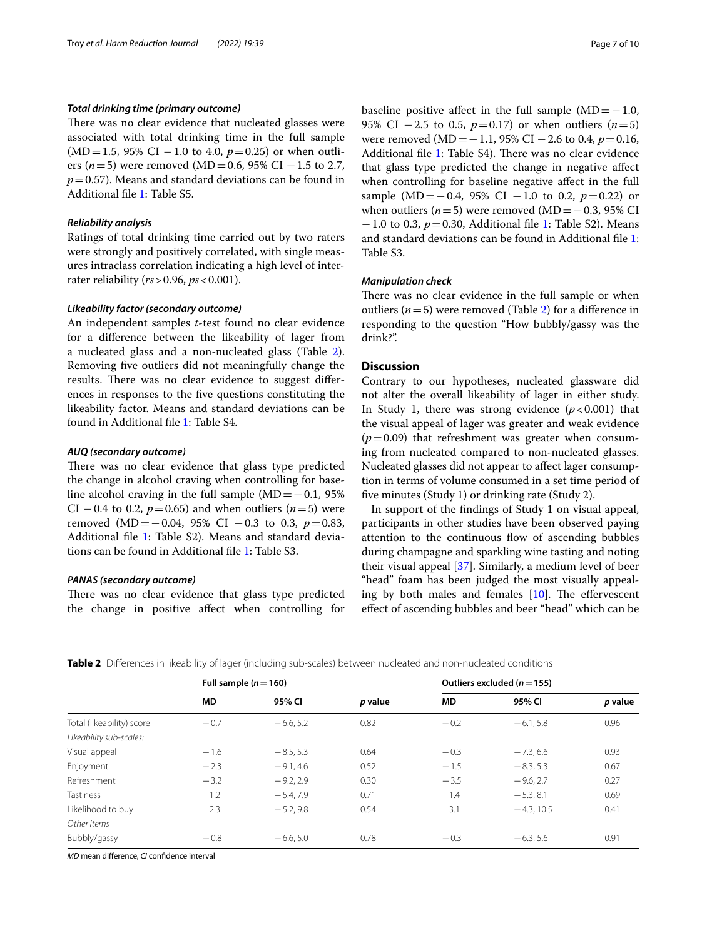#### *Total drinking time (primary outcome)*

There was no clear evidence that nucleated glasses were associated with total drinking time in the full sample  $(MD=1.5, 95\% \text{ CI} - 1.0 \text{ to } 4.0, p=0.25) \text{ or when outli-}$ ers ( $n=5$ ) were removed (MD=0.6, 95% CI – 1.5 to 2.7,  $p=0.57$ ). Means and standard deviations can be found in Additional fle [1](#page-8-9): Table S5.

#### *Reliability analysis*

Ratings of total drinking time carried out by two raters were strongly and positively correlated, with single measures intraclass correlation indicating a high level of interrater reliability (*rs*>0.96, *ps*<0.001).

# *Likeability factor (secondary outcome)*

An independent samples *t*-test found no clear evidence for a diference between the likeability of lager from a nucleated glass and a non-nucleated glass (Table [2](#page-6-0)). Removing fve outliers did not meaningfully change the results. There was no clear evidence to suggest differences in responses to the fve questions constituting the likeability factor. Means and standard deviations can be found in Additional fle [1:](#page-8-9) Table S4.

# *AUQ (secondary outcome)*

There was no clear evidence that glass type predicted the change in alcohol craving when controlling for baseline alcohol craving in the full sample  $(MD=-0.1, 95%$ CI −0.4 to 0.2,  $p=0.65$ ) and when outliers ( $n=5$ ) were removed (MD=−0.04, 95% CI −0.3 to 0.3, *p*=0.83, Additional file [1:](#page-8-9) Table S2). Means and standard deviations can be found in Additional fle [1](#page-8-9): Table S3.

#### *PANAS (secondary outcome)*

There was no clear evidence that glass type predicted the change in positive afect when controlling for baseline positive affect in the full sample  $(MD=-1.0,$ 95% CI  $-2.5$  to 0.5,  $p=0.17$ ) or when outliers ( $n=5$ ) were removed (MD = −1.1, 95% CI − 2.6 to 0.4, *p* = 0.16, Additional file [1:](#page-8-9) Table S4). There was no clear evidence that glass type predicted the change in negative afect when controlling for baseline negative afect in the full sample (MD=−0.4, 95% CI −1.0 to 0.2, *p*=0.22) or when outliers  $(n=5)$  were removed (MD= $-0.3$ , 95% CI −1.0 to 0.3, *p*=0.30, Additional fle [1](#page-8-9): Table S2). Means and standard deviations can be found in Additional fle [1](#page-8-9): Table S3.

# *Manipulation check*

There was no clear evidence in the full sample or when outliers  $(n=5)$  were removed (Table [2\)](#page-6-0) for a difference in responding to the question "How bubbly/gassy was the drink?".

# **Discussion**

Contrary to our hypotheses, nucleated glassware did not alter the overall likeability of lager in either study. In Study 1, there was strong evidence  $(p<0.001)$  that the visual appeal of lager was greater and weak evidence  $(p=0.09)$  that refreshment was greater when consuming from nucleated compared to non-nucleated glasses. Nucleated glasses did not appear to afect lager consumption in terms of volume consumed in a set time period of fve minutes (Study 1) or drinking rate (Study 2).

In support of the fndings of Study 1 on visual appeal, participants in other studies have been observed paying attention to the continuous flow of ascending bubbles during champagne and sparkling wine tasting and noting their visual appeal [[37](#page-9-27)]. Similarly, a medium level of beer "head" foam has been judged the most visually appealing by both males and females  $[10]$  $[10]$ . The effervescent efect of ascending bubbles and beer "head" which can be

<span id="page-6-0"></span>

| Table 2 Differences in likeability of lager (including sub-scales) between nucleated and non-nucleated conditions |  |  |  |
|-------------------------------------------------------------------------------------------------------------------|--|--|--|
|-------------------------------------------------------------------------------------------------------------------|--|--|--|

|                           | Full sample $(n=160)$ |             |         | Outliers excluded ( $n = 155$ ) |             |         |
|---------------------------|-----------------------|-------------|---------|---------------------------------|-------------|---------|
|                           | <b>MD</b>             | 95% CI      | p value | <b>MD</b>                       | 95% CI      | p value |
| Total (likeability) score | $-0.7$                | $-6.6.5.2$  | 0.82    | $-0.2$                          | $-6.1.5.8$  | 0.96    |
| Likeability sub-scales:   |                       |             |         |                                 |             |         |
| Visual appeal             | $-1.6$                | $-8.5.5.3$  | 0.64    | $-0.3$                          | $-7.3.66$   | 0.93    |
| Enjoyment                 | $-2.3$                | $-9.1, 4.6$ | 0.52    | $-1.5$                          | $-8.3, 5.3$ | 0.67    |
| Refreshment               | $-3.2$                | $-9.2, 2.9$ | 0.30    | $-3.5$                          | $-9.6, 2.7$ | 0.27    |
| Tastiness                 | 1.2                   | $-5.4.7.9$  | 0.71    | 1.4                             | $-5.3.8.1$  | 0.69    |
| Likelihood to buy         | 2.3                   | $-5.2.9.8$  | 0.54    | 3.1                             | $-4.3.10.5$ | 0.41    |
| Other items               |                       |             |         |                                 |             |         |
| Bubbly/gassy              | $-0.8$                | $-6.6.5.0$  | 0.78    | $-0.3$                          | $-6.3, 5.6$ | 0.91    |

*MD* mean diference, *CI* confdence interval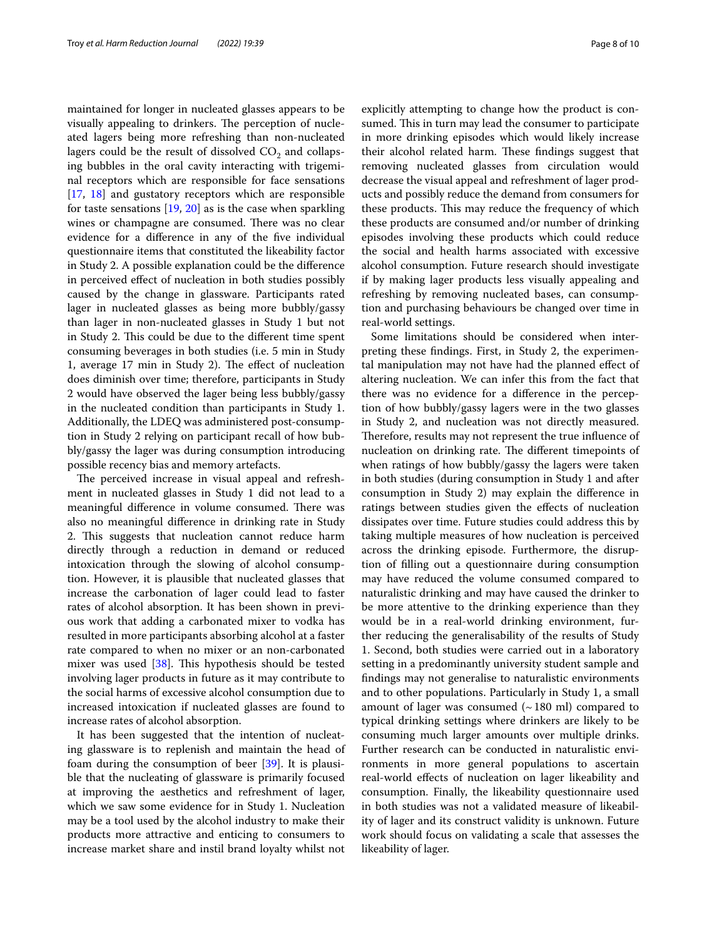maintained for longer in nucleated glasses appears to be visually appealing to drinkers. The perception of nucleated lagers being more refreshing than non-nucleated lagers could be the result of dissolved  $CO<sub>2</sub>$  and collapsing bubbles in the oral cavity interacting with trigeminal receptors which are responsible for face sensations [[17,](#page-9-7) [18](#page-9-8)] and gustatory receptors which are responsible for taste sensations  $[19, 20]$  $[19, 20]$  $[19, 20]$  as is the case when sparkling wines or champagne are consumed. There was no clear evidence for a difference in any of the five individual questionnaire items that constituted the likeability factor in Study 2. A possible explanation could be the diference in perceived efect of nucleation in both studies possibly caused by the change in glassware. Participants rated lager in nucleated glasses as being more bubbly/gassy than lager in non-nucleated glasses in Study 1 but not in Study 2. This could be due to the different time spent consuming beverages in both studies (i.e. 5 min in Study 1, average 17 min in Study 2). The effect of nucleation does diminish over time; therefore, participants in Study 2 would have observed the lager being less bubbly/gassy in the nucleated condition than participants in Study 1. Additionally, the LDEQ was administered post-consumption in Study 2 relying on participant recall of how bubbly/gassy the lager was during consumption introducing possible recency bias and memory artefacts.

The perceived increase in visual appeal and refreshment in nucleated glasses in Study 1 did not lead to a meaningful difference in volume consumed. There was also no meaningful diference in drinking rate in Study 2. This suggests that nucleation cannot reduce harm directly through a reduction in demand or reduced intoxication through the slowing of alcohol consumption. However, it is plausible that nucleated glasses that increase the carbonation of lager could lead to faster rates of alcohol absorption. It has been shown in previous work that adding a carbonated mixer to vodka has resulted in more participants absorbing alcohol at a faster rate compared to when no mixer or an non-carbonated mixer was used  $[38]$  $[38]$ . This hypothesis should be tested involving lager products in future as it may contribute to the social harms of excessive alcohol consumption due to increased intoxication if nucleated glasses are found to increase rates of alcohol absorption.

It has been suggested that the intention of nucleating glassware is to replenish and maintain the head of foam during the consumption of beer [[39](#page-9-29)]. It is plausible that the nucleating of glassware is primarily focused at improving the aesthetics and refreshment of lager, which we saw some evidence for in Study 1. Nucleation may be a tool used by the alcohol industry to make their products more attractive and enticing to consumers to increase market share and instil brand loyalty whilst not explicitly attempting to change how the product is consumed. This in turn may lead the consumer to participate in more drinking episodes which would likely increase their alcohol related harm. These findings suggest that removing nucleated glasses from circulation would decrease the visual appeal and refreshment of lager products and possibly reduce the demand from consumers for these products. This may reduce the frequency of which these products are consumed and/or number of drinking episodes involving these products which could reduce the social and health harms associated with excessive alcohol consumption. Future research should investigate if by making lager products less visually appealing and refreshing by removing nucleated bases, can consumption and purchasing behaviours be changed over time in real-world settings.

Some limitations should be considered when interpreting these fndings. First, in Study 2, the experimental manipulation may not have had the planned efect of altering nucleation. We can infer this from the fact that there was no evidence for a diference in the perception of how bubbly/gassy lagers were in the two glasses in Study 2, and nucleation was not directly measured. Therefore, results may not represent the true influence of nucleation on drinking rate. The different timepoints of when ratings of how bubbly/gassy the lagers were taken in both studies (during consumption in Study 1 and after consumption in Study 2) may explain the diference in ratings between studies given the efects of nucleation dissipates over time. Future studies could address this by taking multiple measures of how nucleation is perceived across the drinking episode. Furthermore, the disruption of flling out a questionnaire during consumption may have reduced the volume consumed compared to naturalistic drinking and may have caused the drinker to be more attentive to the drinking experience than they would be in a real-world drinking environment, further reducing the generalisability of the results of Study 1. Second, both studies were carried out in a laboratory setting in a predominantly university student sample and fndings may not generalise to naturalistic environments and to other populations. Particularly in Study 1, a small amount of lager was consumed  $(~180$  ml) compared to typical drinking settings where drinkers are likely to be consuming much larger amounts over multiple drinks. Further research can be conducted in naturalistic environments in more general populations to ascertain real-world efects of nucleation on lager likeability and consumption. Finally, the likeability questionnaire used in both studies was not a validated measure of likeability of lager and its construct validity is unknown. Future work should focus on validating a scale that assesses the likeability of lager.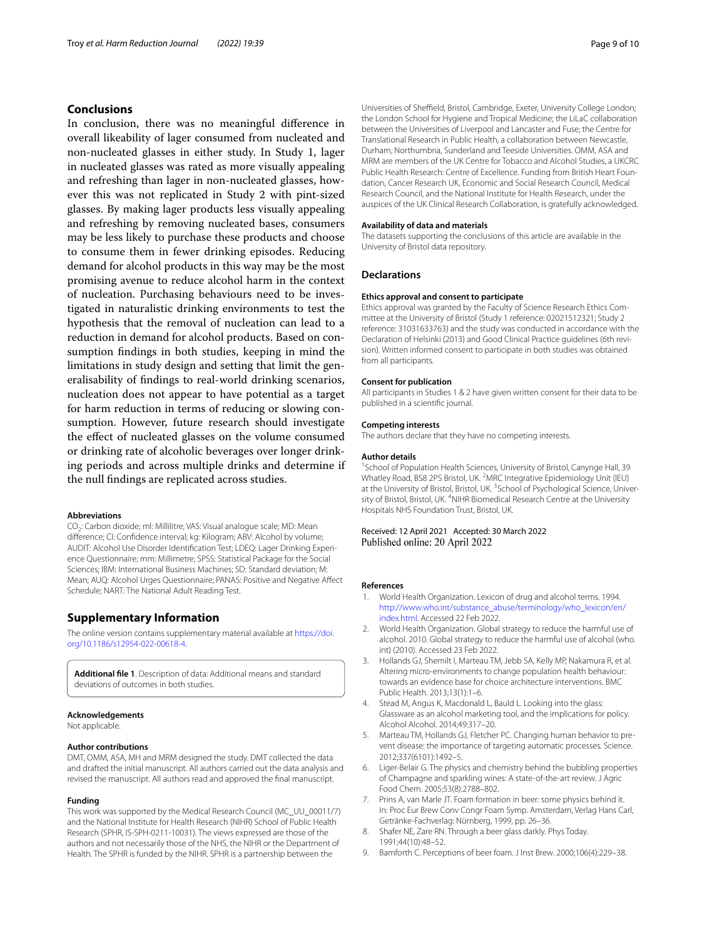# **Conclusions**

In conclusion, there was no meaningful diference in overall likeability of lager consumed from nucleated and non-nucleated glasses in either study. In Study 1, lager in nucleated glasses was rated as more visually appealing and refreshing than lager in non-nucleated glasses, however this was not replicated in Study 2 with pint-sized glasses. By making lager products less visually appealing and refreshing by removing nucleated bases, consumers may be less likely to purchase these products and choose to consume them in fewer drinking episodes. Reducing demand for alcohol products in this way may be the most promising avenue to reduce alcohol harm in the context of nucleation. Purchasing behaviours need to be investigated in naturalistic drinking environments to test the hypothesis that the removal of nucleation can lead to a reduction in demand for alcohol products. Based on consumption fndings in both studies, keeping in mind the limitations in study design and setting that limit the generalisability of fndings to real-world drinking scenarios, nucleation does not appear to have potential as a target for harm reduction in terms of reducing or slowing consumption. However, future research should investigate the efect of nucleated glasses on the volume consumed or drinking rate of alcoholic beverages over longer drinking periods and across multiple drinks and determine if the null fndings are replicated across studies.

#### **Abbreviations**

CO<sub>2</sub>: Carbon dioxide; ml: Millilitre; VAS: Visual analogue scale; MD: Mean diference; CI: Confdence interval; kg: Kilogram; ABV: Alcohol by volume; AUDIT: Alcohol Use Disorder Identifcation Test; LDEQ: Lager Drinking Experience Questionnaire; mm: Millimetre; SPSS: Statistical Package for the Social Sciences; IBM: International Business Machines; SD: Standard deviation; M: Mean; AUQ: Alcohol Urges Questionnaire; PANAS: Positive and Negative Afect Schedule; NART: The National Adult Reading Test.

#### **Supplementary Information**

The online version contains supplementary material available at [https://doi.](https://doi.org/10.1186/s12954-022-00618-4) [org/10.1186/s12954-022-00618-4](https://doi.org/10.1186/s12954-022-00618-4).

<span id="page-8-9"></span>**Additional fle 1**. Description of data: Additional means and standard deviations of outcomes in both studies.

#### **Acknowledgements**

Not applicable.

#### **Author contributions**

DMT, OMM, ASA, MH and MRM designed the study. DMT collected the data and drafted the initial manuscript. All authors carried out the data analysis and revised the manuscript. All authors read and approved the fnal manuscript.

#### **Funding**

This work was supported by the Medical Research Council (MC\_UU\_00011/7) and the National Institute for Health Research (NIHR) School of Public Health Research (SPHR, IS-SPH-0211-10031). The views expressed are those of the authors and not necessarily those of the NHS, the NIHR or the Department of Health. The SPHR is funded by the NIHR. SPHR is a partnership between the

Universities of Sheffield, Bristol, Cambridge, Exeter, University College London; the London School for Hygiene and Tropical Medicine; the LiLaC collaboration between the Universities of Liverpool and Lancaster and Fuse; the Centre for Translational Research in Public Health, a collaboration between Newcastle, Durham, Northumbria, Sunderland and Teeside Universities. OMM, ASA and MRM are members of the UK Centre for Tobacco and Alcohol Studies, a UKCRC Public Health Research: Centre of Excellence. Funding from British Heart Foundation, Cancer Research UK, Economic and Social Research Council, Medical Research Council, and the National Institute for Health Research, under the auspices of the UK Clinical Research Collaboration, is gratefully acknowledged.

#### **Availability of data and materials**

The datasets supporting the conclusions of this article are available in the University of Bristol data repository.

#### **Declarations**

#### **Ethics approval and consent to participate**

Ethics approval was granted by the Faculty of Science Research Ethics Committee at the University of Bristol (Study 1 reference: 02021512321; Study 2 reference: 31031633763) and the study was conducted in accordance with the Declaration of Helsinki (2013) and Good Clinical Practice guidelines (6th revision). Written informed consent to participate in both studies was obtained from all participants.

#### **Consent for publication**

All participants in Studies 1 & 2 have given written consent for their data to be published in a scientifc journal.

#### **Competing interests**

The authors declare that they have no competing interests.

#### **Author details**

<sup>1</sup> School of Population Health Sciences, University of Bristol, Canynge Hall, 39 Whatley Road, BS8 2PS Bristol, UK. <sup>2</sup>MRC Integrative Epidemiology Unit (IEU) at the University of Bristol, Bristol, UK.<sup>3</sup> School of Psychological Science, University of Bristol, Bristol, UK. <sup>4</sup>NIHR Biomedical Research Centre at the University Hospitals NHS Foundation Trust, Bristol, UK.

Received: 12 April 2021 Accepted: 30 March 2022 Published online: 20 April 2022

#### **References**

- <span id="page-8-0"></span>1. World Health Organization. Lexicon of drug and alcohol terms. 1994. [http://www.who.int/substance\\_abuse/terminology/who\\_lexicon/en/](http://www.who.int/substance_abuse/terminology/who_lexicon/en/index.html) [index.html.](http://www.who.int/substance_abuse/terminology/who_lexicon/en/index.html) Accessed 22 Feb 2022.
- <span id="page-8-1"></span>2. World Health Organization. Global strategy to reduce the harmful use of alcohol. 2010. Global strategy to reduce the harmful use of alcohol (who. int) (2010). Accessed 23 Feb 2022.
- <span id="page-8-2"></span>3. Hollands GJ, Shemilt I, Marteau TM, Jebb SA, Kelly MP, Nakamura R, et al. Altering micro-environments to change population health behaviour: towards an evidence base for choice architecture interventions. BMC Public Health. 2013;13(1):1–6.
- <span id="page-8-3"></span>4. Stead M, Angus K, Macdonald L, Bauld L. Looking into the glass: Glassware as an alcohol marketing tool, and the implications for policy. Alcohol Alcohol. 2014;49:317–20.
- <span id="page-8-4"></span>5. Marteau TM, Hollands GJ, Fletcher PC. Changing human behavior to prevent disease: the importance of targeting automatic processes. Science. 2012;337(6101):1492–5.
- <span id="page-8-5"></span>6. Liger-Belair G. The physics and chemistry behind the bubbling properties of Champagne and sparkling wines: A state-of-the-art review. J Agric Food Chem. 2005;53(8):2788–802.
- <span id="page-8-6"></span>Prins A, van Marle JT. Foam formation in beer: some physics behind it. In: Proc Eur Brew Conv Congr Foam Symp. Amsterdam, Verlag Hans Carl, Getränke-Fachverlag: Nürnberg, 1999, pp. 26–36.
- <span id="page-8-7"></span>8. Shafer NE, Zare RN. Through a beer glass darkly. Phys Today. 1991;44(10):48–52.
- <span id="page-8-8"></span>Bamforth C. Perceptions of beer foam. J Inst Brew. 2000;106(4):229-38.